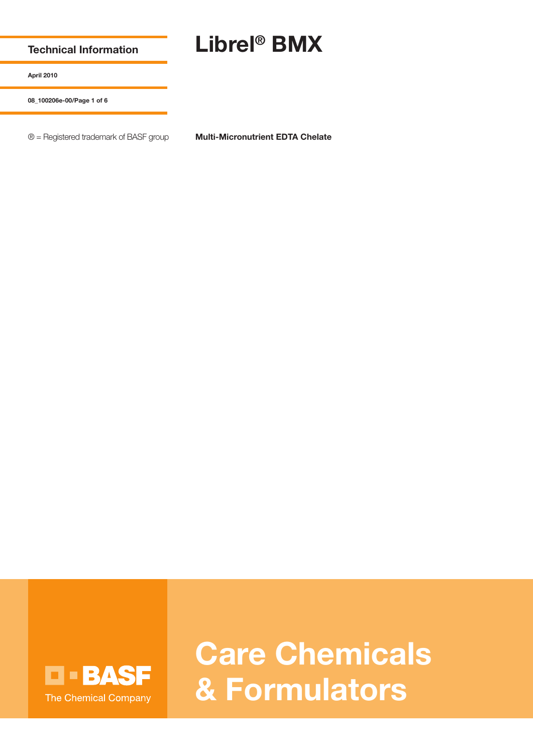**Technical Information**

## **Librel® BMX**

**April 2010**

**08\_100206e-00/Page 1 of 6**

® = Registered trademark of BASF group **Multi-Micronutrient EDTA Chelate**



**Care Chemicals & Formulators**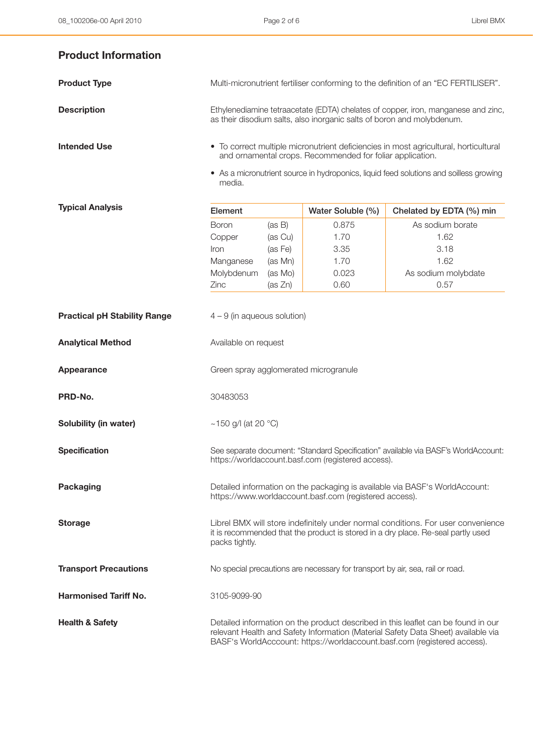## **Product Information**

| <b>Product Type</b> | Multi-micronutrient fertiliser conforming to the definition of an "EC FERTILISER".                                                                          |
|---------------------|-------------------------------------------------------------------------------------------------------------------------------------------------------------|
| <b>Description</b>  | Ethylenediamine tetraacetate (EDTA) chelates of copper, iron, manganese and zinc,<br>as their disodium salts, also inorganic salts of boron and molybdenum. |
| <b>Intended Use</b> | • To correct multiple micronutrient deficiencies in most agricultural, horticultural<br>and ornamental crops. Recommended for foliar application.           |

• As a micronutrient source in hydroponics, liquid feed solutions and soilless growing media.

| <b>Typical Analysis</b>             | Element                                                                                                                                                                                                                                            |         | Water Soluble (%)                                                             | Chelated by EDTA (%) min |  |
|-------------------------------------|----------------------------------------------------------------------------------------------------------------------------------------------------------------------------------------------------------------------------------------------------|---------|-------------------------------------------------------------------------------|--------------------------|--|
|                                     | <b>Boron</b>                                                                                                                                                                                                                                       | (as B)  | 0.875                                                                         | As sodium borate         |  |
|                                     | Copper                                                                                                                                                                                                                                             | (as Cu) | 1.70                                                                          | 1.62                     |  |
|                                     | Iron                                                                                                                                                                                                                                               | (as Fe) | 3.35                                                                          | 3.18                     |  |
|                                     | Manganese                                                                                                                                                                                                                                          | (as Mn) | 1.70                                                                          | 1.62                     |  |
|                                     | Molybdenum                                                                                                                                                                                                                                         | (as Mo) | 0.023                                                                         | As sodium molybdate      |  |
|                                     | Zinc                                                                                                                                                                                                                                               | (as Zn) | 0.60                                                                          | 0.57                     |  |
| <b>Practical pH Stability Range</b> | $4 - 9$ (in aqueous solution)                                                                                                                                                                                                                      |         |                                                                               |                          |  |
| <b>Analytical Method</b>            | Available on request                                                                                                                                                                                                                               |         |                                                                               |                          |  |
| Appearance                          | Green spray agglomerated microgranule                                                                                                                                                                                                              |         |                                                                               |                          |  |
| PRD-No.                             | 30483053                                                                                                                                                                                                                                           |         |                                                                               |                          |  |
| Solubility (in water)               | ~150 g/l (at 20 °C)                                                                                                                                                                                                                                |         |                                                                               |                          |  |
| <b>Specification</b>                | See separate document: "Standard Specification" available via BASF's WorldAccount:<br>https://worldaccount.basf.com (registered access).                                                                                                           |         |                                                                               |                          |  |
| <b>Packaging</b>                    | Detailed information on the packaging is available via BASF's WorldAccount:<br>https://www.worldaccount.basf.com (registered access).                                                                                                              |         |                                                                               |                          |  |
| <b>Storage</b>                      | Librel BMX will store indefinitely under normal conditions. For user convenience<br>it is recommended that the product is stored in a dry place. Re-seal partly used<br>packs tightly.                                                             |         |                                                                               |                          |  |
| <b>Transport Precautions</b>        |                                                                                                                                                                                                                                                    |         | No special precautions are necessary for transport by air, sea, rail or road. |                          |  |
| <b>Harmonised Tariff No.</b>        | 3105-9099-90                                                                                                                                                                                                                                       |         |                                                                               |                          |  |
| <b>Health &amp; Safety</b>          | Detailed information on the product described in this leaflet can be found in our<br>relevant Health and Safety Information (Material Safety Data Sheet) available via<br>BASF's WorldAcccount: https://worldaccount.basf.com (registered access). |         |                                                                               |                          |  |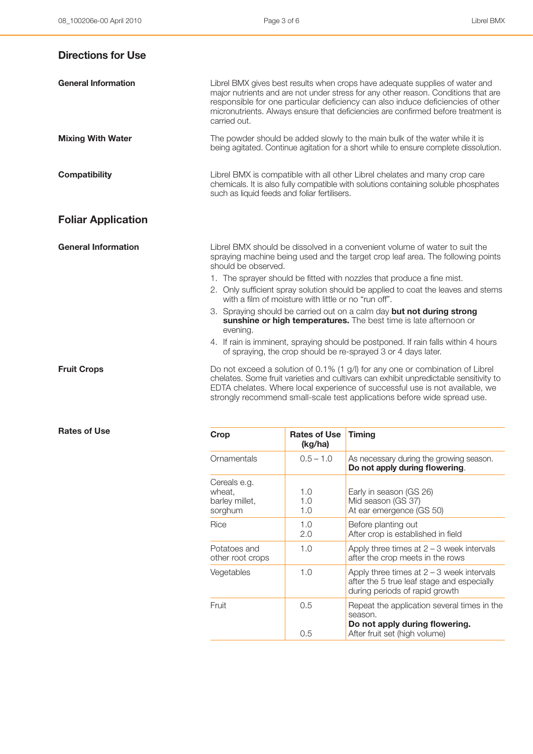| <b>Directions for Use</b>  |                                                                                                                                                                                                                                                                                                                                                                                                                                                                                                                                                                                                                                                                                                                             |
|----------------------------|-----------------------------------------------------------------------------------------------------------------------------------------------------------------------------------------------------------------------------------------------------------------------------------------------------------------------------------------------------------------------------------------------------------------------------------------------------------------------------------------------------------------------------------------------------------------------------------------------------------------------------------------------------------------------------------------------------------------------------|
| <b>General Information</b> | Librel BMX gives best results when crops have adequate supplies of water and<br>major nutrients and are not under stress for any other reason. Conditions that are<br>responsible for one particular deficiency can also induce deficiencies of other<br>micronutrients. Always ensure that deficiencies are confirmed before treatment is<br>carried out.                                                                                                                                                                                                                                                                                                                                                                  |
| <b>Mixing With Water</b>   | The powder should be added slowly to the main bulk of the water while it is<br>being agitated. Continue agitation for a short while to ensure complete dissolution.                                                                                                                                                                                                                                                                                                                                                                                                                                                                                                                                                         |
| <b>Compatibility</b>       | Librel BMX is compatible with all other Librel chelates and many crop care<br>chemicals. It is also fully compatible with solutions containing soluble phosphates<br>such as liquid feeds and foliar fertilisers.                                                                                                                                                                                                                                                                                                                                                                                                                                                                                                           |
| <b>Foliar Application</b>  |                                                                                                                                                                                                                                                                                                                                                                                                                                                                                                                                                                                                                                                                                                                             |
| <b>General Information</b> | Librel BMX should be dissolved in a convenient volume of water to suit the<br>spraying machine being used and the target crop leaf area. The following points<br>should be observed.<br>1. The sprayer should be fitted with nozzles that produce a fine mist.<br>2. Only sufficient spray solution should be applied to coat the leaves and stems<br>with a film of moisture with little or no "run off".<br>3. Spraying should be carried out on a calm day but not during strong<br>sunshine or high temperatures. The best time is late afternoon or<br>evening.<br>4. If rain is imminent, spraying should be postponed. If rain falls within 4 hours<br>of spraying, the crop should be re-sprayed 3 or 4 days later. |
| <b>Fruit Crops</b>         | Do not exceed a solution of 0.1% (1 g/l) for any one or combination of Librel<br>chelates. Some fruit varieties and cultivars can exhibit unpredictable sensitivity to<br>EDTA chelates. Where local experience of successful use is not available, we<br>strongly recommend small-scale test applications before wide spread use.                                                                                                                                                                                                                                                                                                                                                                                          |

| <b>Rates of Use</b> |  |
|---------------------|--|
|                     |  |

| <b>Rates of Use</b> | Crop                                                | <b>Rates of Use</b><br>(kg/ha) | <b>Timing</b>                                                                                                               |
|---------------------|-----------------------------------------------------|--------------------------------|-----------------------------------------------------------------------------------------------------------------------------|
|                     | Ornamentals                                         | $0.5 - 1.0$                    | As necessary during the growing season.<br>Do not apply during flowering.                                                   |
|                     | Cereals e.g.<br>wheat,<br>barley millet,<br>sorghum | 1.0<br>1.0<br>1.0              | Early in season (GS 26)<br>Mid season (GS 37)<br>At ear emergence (GS 50)                                                   |
|                     | Rice                                                | 1.0<br>2.0                     | Before planting out<br>After crop is established in field                                                                   |
|                     | Potatoes and<br>other root crops                    | 1.0                            | Apply three times at $2 - 3$ week intervals<br>after the crop meets in the rows                                             |
|                     | Vegetables                                          | 1.0                            | Apply three times at $2 - 3$ week intervals<br>after the 5 true leaf stage and especially<br>during periods of rapid growth |
|                     | Fruit                                               | 0.5<br>0.5                     | Repeat the application several times in the<br>season.<br>Do not apply during flowering.<br>After fruit set (high volume)   |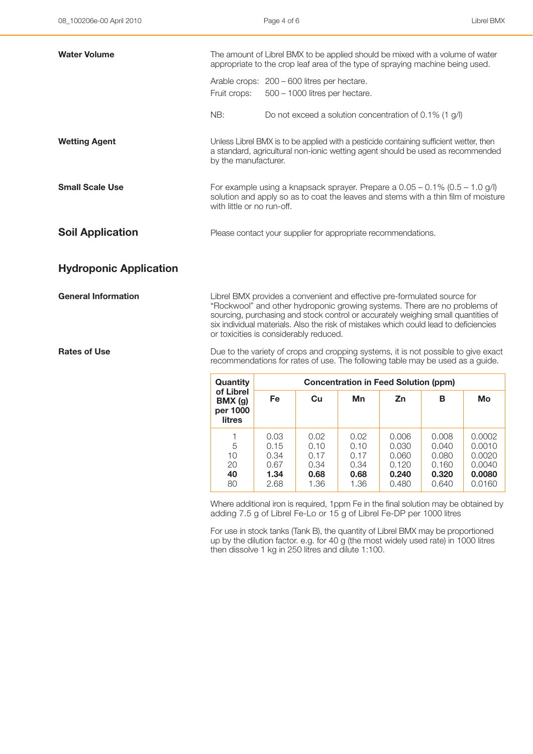| <b>Water Volume</b>           | The amount of Librel BMX to be applied should be mixed with a volume of water<br>appropriate to the crop leaf area of the type of spraying machine being used.                                     |                                                                                                                                                                                                                                                                                                                                    |  |
|-------------------------------|----------------------------------------------------------------------------------------------------------------------------------------------------------------------------------------------------|------------------------------------------------------------------------------------------------------------------------------------------------------------------------------------------------------------------------------------------------------------------------------------------------------------------------------------|--|
|                               | Fruit crops:                                                                                                                                                                                       | Arable crops: 200 - 600 litres per hectare.<br>500 - 1000 litres per hectare.                                                                                                                                                                                                                                                      |  |
|                               | NB:                                                                                                                                                                                                | Do not exceed a solution concentration of $0.1\%$ (1 g/l)                                                                                                                                                                                                                                                                          |  |
| <b>Wetting Agent</b>          | by the manufacturer.                                                                                                                                                                               | Unless Librel BMX is to be applied with a pesticide containing sufficient wetter, then<br>a standard, agricultural non-ionic wetting agent should be used as recommended                                                                                                                                                           |  |
| <b>Small Scale Use</b>        | For example using a knapsack sprayer. Prepare a $0.05 - 0.1\%$ (0.5 – 1.0 g/l)<br>solution and apply so as to coat the leaves and stems with a thin film of moisture<br>with little or no run-off. |                                                                                                                                                                                                                                                                                                                                    |  |
| <b>Soil Application</b>       | Please contact your supplier for appropriate recommendations.                                                                                                                                      |                                                                                                                                                                                                                                                                                                                                    |  |
| <b>Hydroponic Application</b> |                                                                                                                                                                                                    |                                                                                                                                                                                                                                                                                                                                    |  |
| <b>General Information</b>    |                                                                                                                                                                                                    | Librel BMX provides a convenient and effective pre-formulated source for<br>"Rockwool" and other hydroponic growing systems. There are no problems of<br>sourcing, purchasing and stock control or accurately weighing small quantities of<br>six individual materials. Also the risk of mistakes which could lead to deficiencies |  |

or toxicities is considerably reduced.

**Rates of Use Due to the variety of crops and cropping systems, it is not possible to give exact** recommendations for rates of use. The following table may be used as a guide.

| Quantity                                         | <b>Concentration in Feed Solution (ppm)</b>  |                                              |                                              |                                                    |                                                    |                                                          |
|--------------------------------------------------|----------------------------------------------|----------------------------------------------|----------------------------------------------|----------------------------------------------------|----------------------------------------------------|----------------------------------------------------------|
| of Librel<br>BMX(g)<br>per 1000<br><b>litres</b> | Fe                                           | Cu                                           | Mn                                           | Zn                                                 | в                                                  | Мo                                                       |
| 5<br>10<br>20<br>40<br>80                        | 0.03<br>0.15<br>0.34<br>0.67<br>1.34<br>2.68 | 0.02<br>0.10<br>0.17<br>0.34<br>0.68<br>1.36 | 0.02<br>0.10<br>0.17<br>0.34<br>0.68<br>1.36 | 0.006<br>0.030<br>0.060<br>0.120<br>0.240<br>0.480 | 0.008<br>0.040<br>0.080<br>0.160<br>0.320<br>0.640 | 0.0002<br>0.0010<br>0.0020<br>0.0040<br>0.0080<br>0.0160 |

Where additional iron is required, 1ppm Fe in the final solution may be obtained by adding 7.5 g of Librel Fe-Lo or 15 g of Librel Fe-DP per 1000 litres

For use in stock tanks (Tank B), the quantity of Librel BMX may be proportioned up by the dilution factor. e.g. for 40 g (the most widely used rate) in 1000 litres then dissolve 1 kg in 250 litres and dilute 1:100.